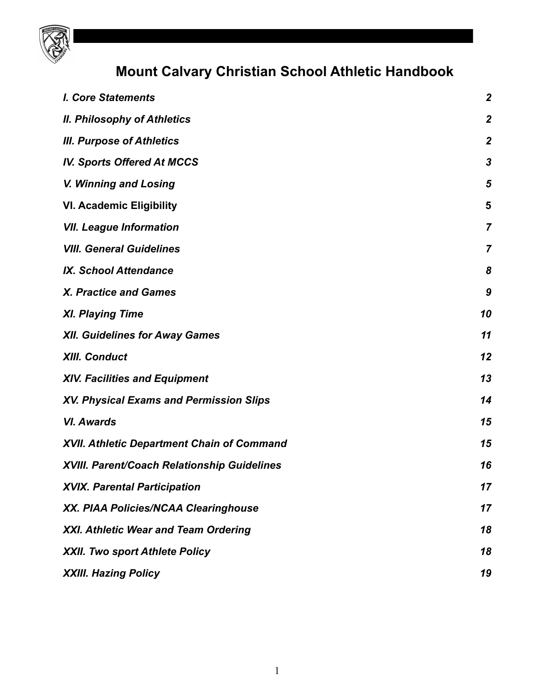

# **Mount Calvary Christian School Athletic Handbook**

| <b>I. Core Statements</b>                          | $\boldsymbol{2}$ |
|----------------------------------------------------|------------------|
| <b>II. Philosophy of Athletics</b>                 | $\boldsymbol{2}$ |
| <b>III. Purpose of Athletics</b>                   | $\boldsymbol{2}$ |
| <b>IV. Sports Offered At MCCS</b>                  | 3                |
| V. Winning and Losing                              | 5                |
| <b>VI. Academic Eligibility</b>                    | 5                |
| <b>VII. League Information</b>                     | $\overline{7}$   |
| <b>VIII. General Guidelines</b>                    | 7                |
| <b>IX. School Attendance</b>                       | 8                |
| <b>X. Practice and Games</b>                       | 9                |
| <b>XI. Playing Time</b>                            | 10               |
| <b>XII. Guidelines for Away Games</b>              | 11               |
| <b>XIII. Conduct</b>                               | 12               |
| <b>XIV. Facilities and Equipment</b>               | 13               |
| <b>XV. Physical Exams and Permission Slips</b>     | 14               |
| <b>VI. Awards</b>                                  | 15               |
| <b>XVII. Athletic Department Chain of Command</b>  | 15               |
| <b>XVIII. Parent/Coach Relationship Guidelines</b> | 16               |
| <b>XVIX. Parental Participation</b>                | 17               |
| XX. PIAA Policies/NCAA Clearinghouse               | 17               |
| XXI. Athletic Wear and Team Ordering               | 18               |
| <b>XXII. Two sport Athlete Policy</b>              | 18               |
| <b>XXIII. Hazing Policy</b>                        | 19               |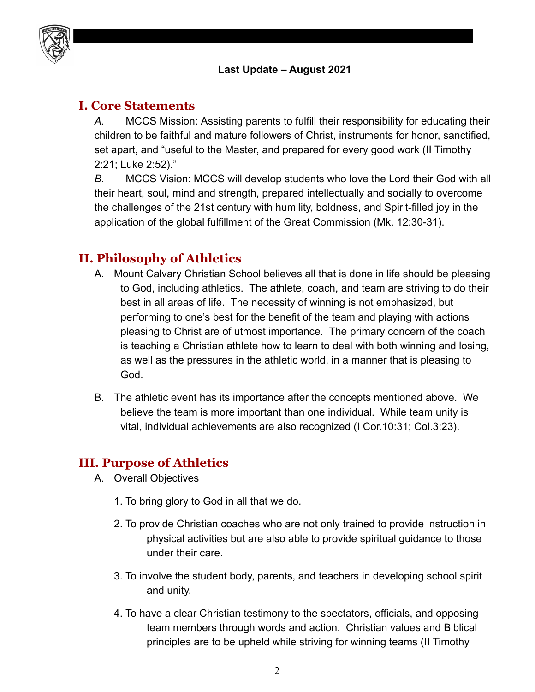

#### **Last Update – August 2021**

#### <span id="page-1-0"></span>**I. Core Statements**

*A.* MCCS Mission: Assisting parents to fulfill their responsibility for educating their children to be faithful and mature followers of Christ, instruments for honor, sanctified, set apart, and "useful to the Master, and prepared for every good work (II Timothy 2:21; Luke 2:52)."

*B.* MCCS Vision: MCCS will develop students who love the Lord their God with all their heart, soul, mind and strength, prepared intellectually and socially to overcome the challenges of the 21st century with humility, boldness, and Spirit-filled joy in the application of the global fulfillment of the Great Commission (Mk. 12:30-31).

## <span id="page-1-1"></span>**II. Philosophy of Athletics**

- A. Mount Calvary Christian School believes all that is done in life should be pleasing to God, including athletics. The athlete, coach, and team are striving to do their best in all areas of life. The necessity of winning is not emphasized, but performing to one's best for the benefit of the team and playing with actions pleasing to Christ are of utmost importance. The primary concern of the coach is teaching a Christian athlete how to learn to deal with both winning and losing, as well as the pressures in the athletic world, in a manner that is pleasing to God.
- B. The athletic event has its importance after the concepts mentioned above. We believe the team is more important than one individual. While team unity is vital, individual achievements are also recognized (I Cor.10:31; Col.3:23).

#### <span id="page-1-2"></span>**III. Purpose of Athletics**

- A. Overall Objectives
	- 1. To bring glory to God in all that we do.
	- 2. To provide Christian coaches who are not only trained to provide instruction in physical activities but are also able to provide spiritual guidance to those under their care.
	- 3. To involve the student body, parents, and teachers in developing school spirit and unity.
	- 4. To have a clear Christian testimony to the spectators, officials, and opposing team members through words and action. Christian values and Biblical principles are to be upheld while striving for winning teams (II Timothy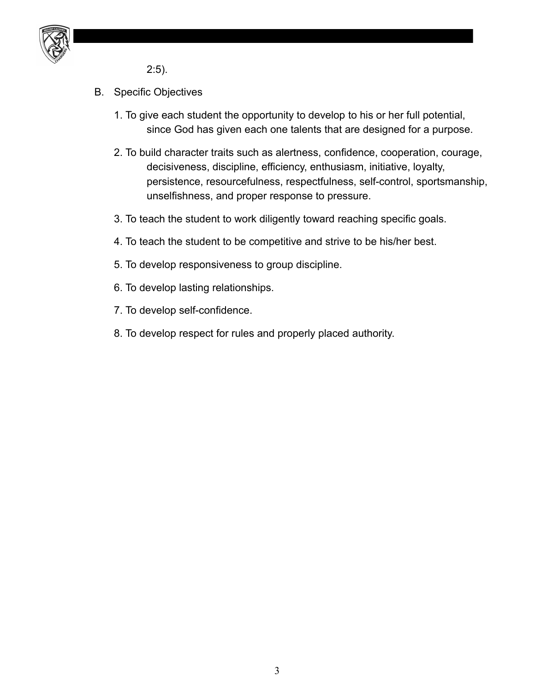

2:5).

- B. Specific Objectives
	- 1. To give each student the opportunity to develop to his or her full potential, since God has given each one talents that are designed for a purpose.
	- 2. To build character traits such as alertness, confidence, cooperation, courage, decisiveness, discipline, efficiency, enthusiasm, initiative, loyalty, persistence, resourcefulness, respectfulness, self-control, sportsmanship, unselfishness, and proper response to pressure.
	- 3. To teach the student to work diligently toward reaching specific goals.
	- 4. To teach the student to be competitive and strive to be his/her best.
	- 5. To develop responsiveness to group discipline.
	- 6. To develop lasting relationships.
	- 7. To develop self-confidence.
	- 8. To develop respect for rules and properly placed authority.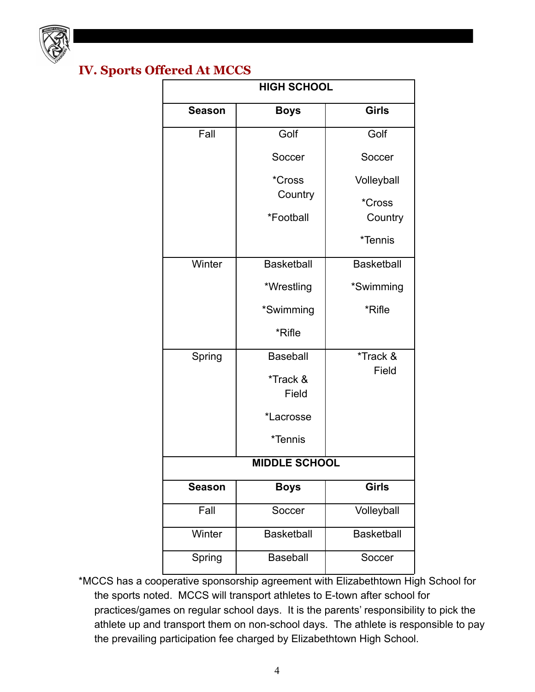

# <span id="page-3-0"></span>**IV. Sports Offered At MCCS**

| <b>HIGH SCHOOL</b>   |                   |                   |  |  |
|----------------------|-------------------|-------------------|--|--|
| <b>Season</b>        | <b>Boys</b>       | <b>Girls</b>      |  |  |
| Fall                 | Golf              | Golf              |  |  |
|                      | Soccer            | Soccer            |  |  |
|                      | *Cross            | Volleyball        |  |  |
|                      | Country           | *Cross            |  |  |
|                      | *Football         | Country           |  |  |
|                      |                   | *Tennis           |  |  |
| Winter               | <b>Basketball</b> | <b>Basketball</b> |  |  |
|                      | *Wrestling        | *Swimming         |  |  |
|                      | *Swimming         | *Rifle            |  |  |
|                      | *Rifle            |                   |  |  |
| Spring               | <b>Baseball</b>   | *Track &          |  |  |
|                      | *Track &          | Field             |  |  |
|                      | Field             |                   |  |  |
|                      | *Lacrosse         |                   |  |  |
|                      | *Tennis           |                   |  |  |
| <b>MIDDLE SCHOOL</b> |                   |                   |  |  |
| <b>Season</b>        | <b>Boys</b>       | <b>Girls</b>      |  |  |
| Fall                 | Soccer            | Volleyball        |  |  |
| Winter               | <b>Basketball</b> | <b>Basketball</b> |  |  |
| Spring               | <b>Baseball</b>   | Soccer            |  |  |

\*MCCS has a cooperative sponsorship agreement with Elizabethtown High School for the sports noted. MCCS will transport athletes to E-town after school for practices/games on regular school days. It is the parents' responsibility to pick the athlete up and transport them on non-school days. The athlete is responsible to pay the prevailing participation fee charged by Elizabethtown High School.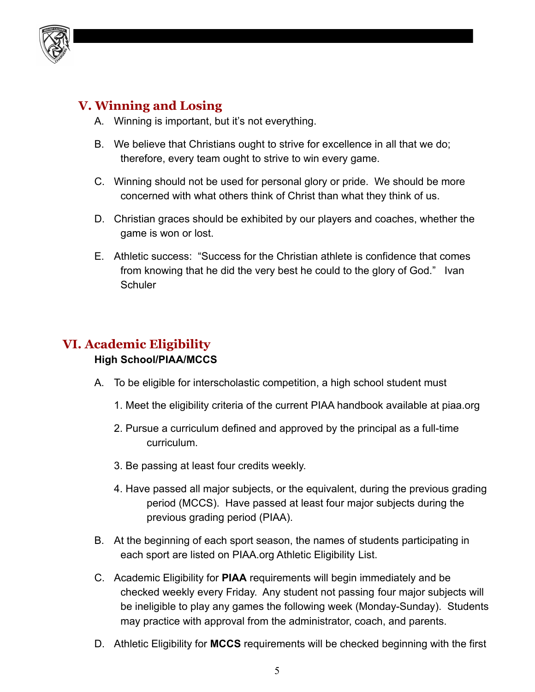

## <span id="page-4-0"></span>**V. Winning and Losing**

- A. Winning is important, but it's not everything.
- B. We believe that Christians ought to strive for excellence in all that we do; therefore, every team ought to strive to win every game.
- C. Winning should not be used for personal glory or pride. We should be more concerned with what others think of Christ than what they think of us.
- D. Christian graces should be exhibited by our players and coaches, whether the game is won or lost.
- E. Athletic success: "Success for the Christian athlete is confidence that comes from knowing that he did the very best he could to the glory of God." Ivan **Schuler**

# <span id="page-4-1"></span>**VI. Academic Eligibility**

#### **High School/PIAA/MCCS**

- A. To be eligible for interscholastic competition, a high school student must
	- 1. Meet the eligibility criteria of the current PIAA handbook available at piaa.org
	- 2. Pursue a curriculum defined and approved by the principal as a full-time curriculum.
	- 3. Be passing at least four credits weekly.
	- 4. Have passed all major subjects, or the equivalent, during the previous grading period (MCCS). Have passed at least four major subjects during the previous grading period (PIAA).
- B. At the beginning of each sport season, the names of students participating in each sport are listed on PIAA.org Athletic Eligibility List.
- C. Academic Eligibility for **PIAA** requirements will begin immediately and be checked weekly every Friday. Any student not passing four major subjects will be ineligible to play any games the following week (Monday-Sunday). Students may practice with approval from the administrator, coach, and parents.
- D. Athletic Eligibility for **MCCS** requirements will be checked beginning with the first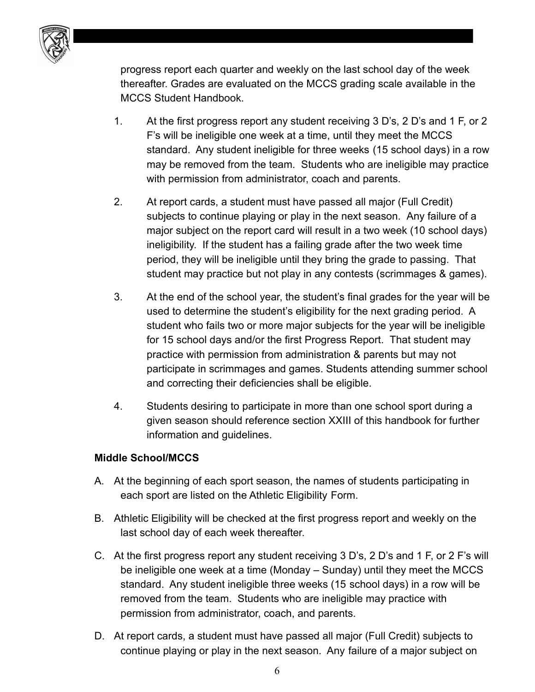

progress report each quarter and weekly on the last school day of the week thereafter. Grades are evaluated on the MCCS grading scale available in the MCCS Student Handbook.

- 1. At the first progress report any student receiving 3 D's, 2 D's and 1 F, or 2 F's will be ineligible one week at a time, until they meet the MCCS standard. Any student ineligible for three weeks (15 school days) in a row may be removed from the team. Students who are ineligible may practice with permission from administrator, coach and parents.
- 2. At report cards, a student must have passed all major (Full Credit) subjects to continue playing or play in the next season. Any failure of a major subject on the report card will result in a two week (10 school days) ineligibility. If the student has a failing grade after the two week time period, they will be ineligible until they bring the grade to passing. That student may practice but not play in any contests (scrimmages & games).
- 3. At the end of the school year, the student's final grades for the year will be used to determine the student's eligibility for the next grading period. A student who fails two or more major subjects for the year will be ineligible for 15 school days and/or the first Progress Report. That student may practice with permission from administration & parents but may not participate in scrimmages and games. Students attending summer school and correcting their deficiencies shall be eligible.
- 4. Students desiring to participate in more than one school sport during a given season should reference section XXIII of this handbook for further information and guidelines.

#### **Middle School/MCCS**

- A. At the beginning of each sport season, the names of students participating in each sport are listed on the Athletic Eligibility Form.
- B. Athletic Eligibility will be checked at the first progress report and weekly on the last school day of each week thereafter.
- C. At the first progress report any student receiving 3 D's, 2 D's and 1 F, or 2 F's will be ineligible one week at a time (Monday – Sunday) until they meet the MCCS standard. Any student ineligible three weeks (15 school days) in a row will be removed from the team. Students who are ineligible may practice with permission from administrator, coach, and parents.
- D. At report cards, a student must have passed all major (Full Credit) subjects to continue playing or play in the next season. Any failure of a major subject on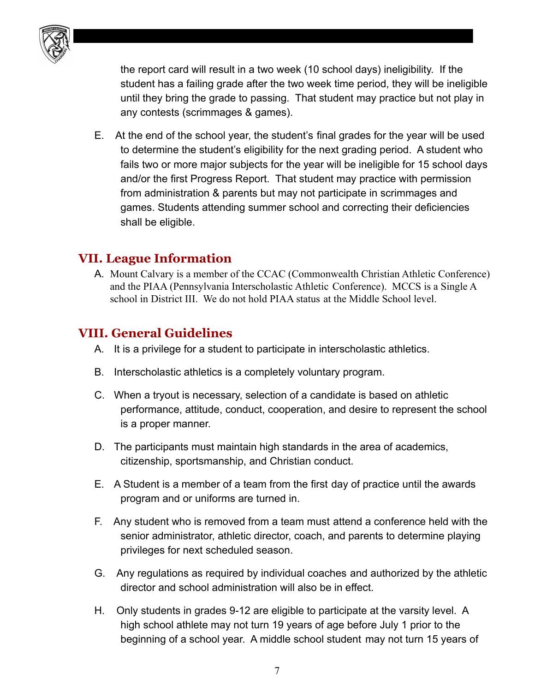

the report card will result in a two week (10 school days) ineligibility. If the student has a failing grade after the two week time period, they will be ineligible until they bring the grade to passing. That student may practice but not play in any contests (scrimmages & games).

E. At the end of the school year, the student's final grades for the year will be used to determine the student's eligibility for the next grading period. A student who fails two or more major subjects for the year will be ineligible for 15 school days and/or the first Progress Report. That student may practice with permission from administration & parents but may not participate in scrimmages and games. Students attending summer school and correcting their deficiencies shall be eligible.

#### <span id="page-6-0"></span>**VII. League Information**

A. Mount Calvary is a member of the CCAC (Commonwealth Christian Athletic Conference) and the PIAA (Pennsylvania Interscholastic Athletic Conference). MCCS is a Single A school in District III. We do not hold PIAA status at the Middle School level.

## <span id="page-6-1"></span>**VIII. General Guidelines**

- A. It is a privilege for a student to participate in interscholastic athletics.
- B. Interscholastic athletics is a completely voluntary program.
- C. When a tryout is necessary, selection of a candidate is based on athletic performance, attitude, conduct, cooperation, and desire to represent the school is a proper manner.
- D. The participants must maintain high standards in the area of academics, citizenship, sportsmanship, and Christian conduct.
- E. A Student is a member of a team from the first day of practice until the awards program and or uniforms are turned in.
- F. Any student who is removed from a team must attend a conference held with the senior administrator, athletic director, coach, and parents to determine playing privileges for next scheduled season.
- G. Any regulations as required by individual coaches and authorized by the athletic director and school administration will also be in effect.
- H. Only students in grades 9-12 are eligible to participate at the varsity level. A high school athlete may not turn 19 years of age before July 1 prior to the beginning of a school year. A middle school student may not turn 15 years of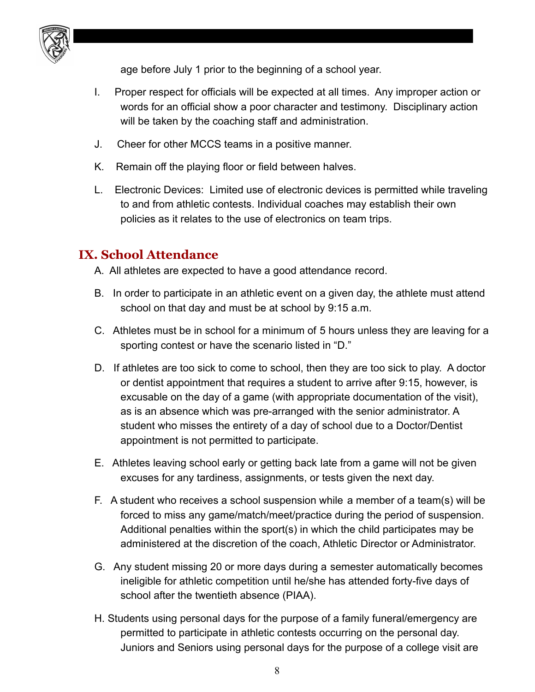

age before July 1 prior to the beginning of a school year.

- I. Proper respect for officials will be expected at all times. Any improper action or words for an official show a poor character and testimony. Disciplinary action will be taken by the coaching staff and administration.
- J. Cheer for other MCCS teams in a positive manner.
- K. Remain off the playing floor or field between halves.
- L. Electronic Devices: Limited use of electronic devices is permitted while traveling to and from athletic contests. Individual coaches may establish their own policies as it relates to the use of electronics on team trips.

#### <span id="page-7-0"></span>**IX. School Attendance**

- A. All athletes are expected to have a good attendance record.
- B. In order to participate in an athletic event on a given day, the athlete must attend school on that day and must be at school by 9:15 a.m.
- C. Athletes must be in school for a minimum of 5 hours unless they are leaving for a sporting contest or have the scenario listed in "D."
- D. If athletes are too sick to come to school, then they are too sick to play. A doctor or dentist appointment that requires a student to arrive after 9:15, however, is excusable on the day of a game (with appropriate documentation of the visit), as is an absence which was pre-arranged with the senior administrator. A student who misses the entirety of a day of school due to a Doctor/Dentist appointment is not permitted to participate.
- E. Athletes leaving school early or getting back late from a game will not be given excuses for any tardiness, assignments, or tests given the next day.
- F. A student who receives a school suspension while a member of a team(s) will be forced to miss any game/match/meet/practice during the period of suspension. Additional penalties within the sport(s) in which the child participates may be administered at the discretion of the coach, Athletic Director or Administrator.
- G. Any student missing 20 or more days during a semester automatically becomes ineligible for athletic competition until he/she has attended forty-five days of school after the twentieth absence (PIAA).
- H. Students using personal days for the purpose of a family funeral/emergency are permitted to participate in athletic contests occurring on the personal day. Juniors and Seniors using personal days for the purpose of a college visit are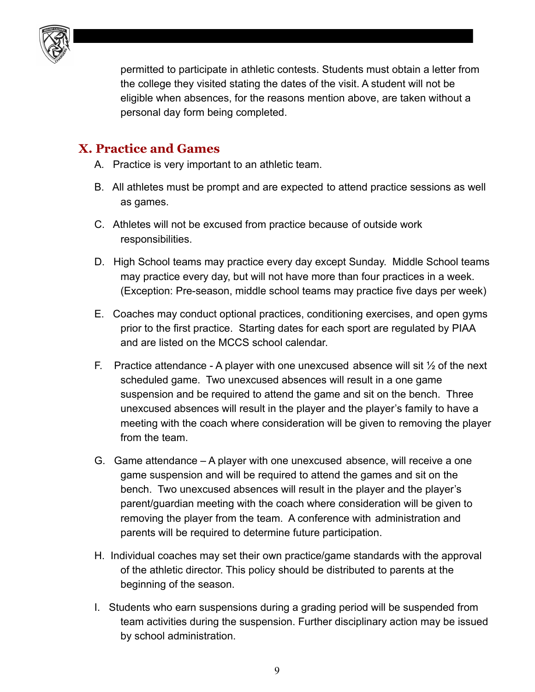

permitted to participate in athletic contests. Students must obtain a letter from the college they visited stating the dates of the visit. A student will not be eligible when absences, for the reasons mention above, are taken without a personal day form being completed.

#### <span id="page-8-0"></span>**X. Practice and Games**

- A. Practice is very important to an athletic team.
- B. All athletes must be prompt and are expected to attend practice sessions as well as games.
- C. Athletes will not be excused from practice because of outside work responsibilities.
- D. High School teams may practice every day except Sunday. Middle School teams may practice every day, but will not have more than four practices in a week. (Exception: Pre-season, middle school teams may practice five days per week)
- E. Coaches may conduct optional practices, conditioning exercises, and open gyms prior to the first practice. Starting dates for each sport are regulated by PIAA and are listed on the MCCS school calendar.
- F. Practice attendance A player with one unexcused absence will sit  $\frac{1}{2}$  of the next scheduled game. Two unexcused absences will result in a one game suspension and be required to attend the game and sit on the bench. Three unexcused absences will result in the player and the player's family to have a meeting with the coach where consideration will be given to removing the player from the team.
- G. Game attendance A player with one unexcused absence, will receive a one game suspension and will be required to attend the games and sit on the bench. Two unexcused absences will result in the player and the player's parent/guardian meeting with the coach where consideration will be given to removing the player from the team. A conference with administration and parents will be required to determine future participation.
- H. Individual coaches may set their own practice/game standards with the approval of the athletic director. This policy should be distributed to parents at the beginning of the season.
- I. Students who earn suspensions during a grading period will be suspended from team activities during the suspension. Further disciplinary action may be issued by school administration.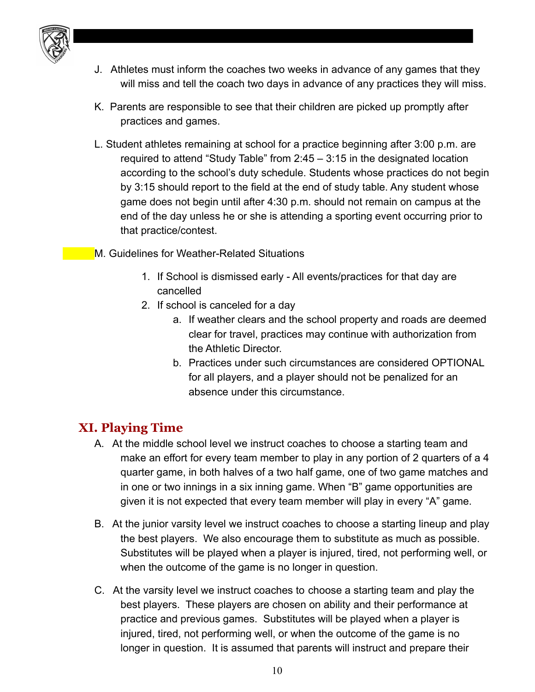

- J. Athletes must inform the coaches two weeks in advance of any games that they will miss and tell the coach two days in advance of any practices they will miss.
- K. Parents are responsible to see that their children are picked up promptly after practices and games.
- L. Student athletes remaining at school for a practice beginning after 3:00 p.m. are required to attend "Study Table" from 2:45 – 3:15 in the designated location according to the school's duty schedule. Students whose practices do not begin by 3:15 should report to the field at the end of study table. Any student whose game does not begin until after 4:30 p.m. should not remain on campus at the end of the day unless he or she is attending a sporting event occurring prior to that practice/contest.
- M. Guidelines for Weather-Related Situations
	- 1. If School is dismissed early All events/practices for that day are cancelled
	- 2. If school is canceled for a day
		- a. If weather clears and the school property and roads are deemed clear for travel, practices may continue with authorization from the Athletic Director.
		- b. Practices under such circumstances are considered OPTIONAL for all players, and a player should not be penalized for an absence under this circumstance.

## <span id="page-9-0"></span>**XI. Playing Time**

- A. At the middle school level we instruct coaches to choose a starting team and make an effort for every team member to play in any portion of 2 quarters of a 4 quarter game, in both halves of a two half game, one of two game matches and in one or two innings in a six inning game. When "B" game opportunities are given it is not expected that every team member will play in every "A" game.
- B. At the junior varsity level we instruct coaches to choose a starting lineup and play the best players. We also encourage them to substitute as much as possible. Substitutes will be played when a player is injured, tired, not performing well, or when the outcome of the game is no longer in question.
- C. At the varsity level we instruct coaches to choose a starting team and play the best players. These players are chosen on ability and their performance at practice and previous games. Substitutes will be played when a player is injured, tired, not performing well, or when the outcome of the game is no longer in question. It is assumed that parents will instruct and prepare their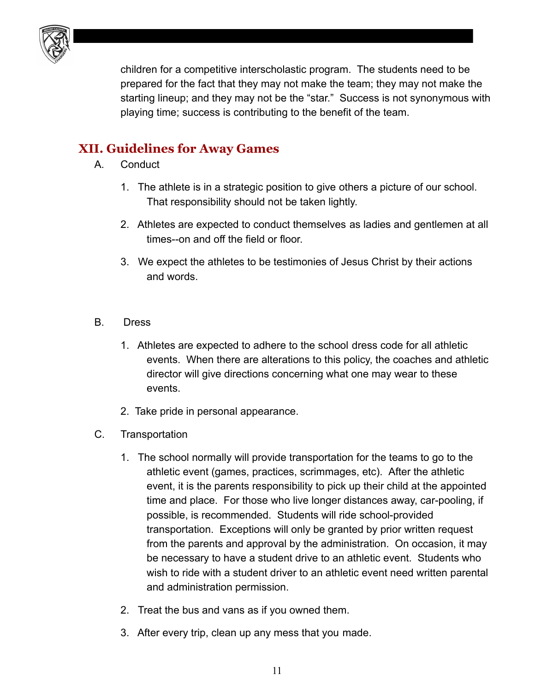

children for a competitive interscholastic program. The students need to be prepared for the fact that they may not make the team; they may not make the starting lineup; and they may not be the "star." Success is not synonymous with playing time; success is contributing to the benefit of the team.

# <span id="page-10-0"></span>**XII. Guidelines for Away Games**

- A. Conduct
	- 1. The athlete is in a strategic position to give others a picture of our school. That responsibility should not be taken lightly.
	- 2. Athletes are expected to conduct themselves as ladies and gentlemen at all times--on and off the field or floor.
	- 3. We expect the athletes to be testimonies of Jesus Christ by their actions and words.
- B. Dress
	- 1. Athletes are expected to adhere to the school dress code for all athletic events. When there are alterations to this policy, the coaches and athletic director will give directions concerning what one may wear to these events.
	- 2. Take pride in personal appearance.
- C. Transportation
	- 1. The school normally will provide transportation for the teams to go to the athletic event (games, practices, scrimmages, etc). After the athletic event, it is the parents responsibility to pick up their child at the appointed time and place. For those who live longer distances away, car-pooling, if possible, is recommended. Students will ride school-provided transportation. Exceptions will only be granted by prior written request from the parents and approval by the administration. On occasion, it may be necessary to have a student drive to an athletic event. Students who wish to ride with a student driver to an athletic event need written parental and administration permission.
	- 2. Treat the bus and vans as if you owned them.
	- 3. After every trip, clean up any mess that you made.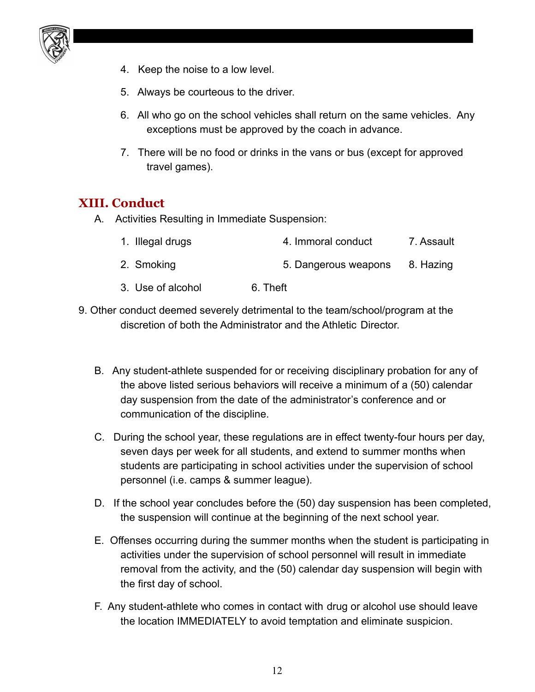

- 4. Keep the noise to a low level.
- 5. Always be courteous to the driver.
- 6. All who go on the school vehicles shall return on the same vehicles. Any exceptions must be approved by the coach in advance.
- 7. There will be no food or drinks in the vans or bus (except for approved travel games).

#### <span id="page-11-0"></span>**XIII. Conduct**

A. Activities Resulting in Immediate Suspension:

| 1. Illegal drugs  | 4. Immoral conduct   | 7. Assault |
|-------------------|----------------------|------------|
| 2. Smoking        | 5. Dangerous weapons | 8. Hazing  |
| 3. Use of alcohol | 6. Theft             |            |

- 9. Other conduct deemed severely detrimental to the team/school/program at the discretion of both the Administrator and the Athletic Director.
	- B. Any student-athlete suspended for or receiving disciplinary probation for any of the above listed serious behaviors will receive a minimum of a (50) calendar day suspension from the date of the administrator's conference and or communication of the discipline.
	- C. During the school year, these regulations are in effect twenty-four hours per day, seven days per week for all students, and extend to summer months when students are participating in school activities under the supervision of school personnel (i.e. camps & summer league).
	- D. If the school year concludes before the (50) day suspension has been completed, the suspension will continue at the beginning of the next school year.
	- E. Offenses occurring during the summer months when the student is participating in activities under the supervision of school personnel will result in immediate removal from the activity, and the (50) calendar day suspension will begin with the first day of school.
	- F. Any student-athlete who comes in contact with drug or alcohol use should leave the location IMMEDIATELY to avoid temptation and eliminate suspicion.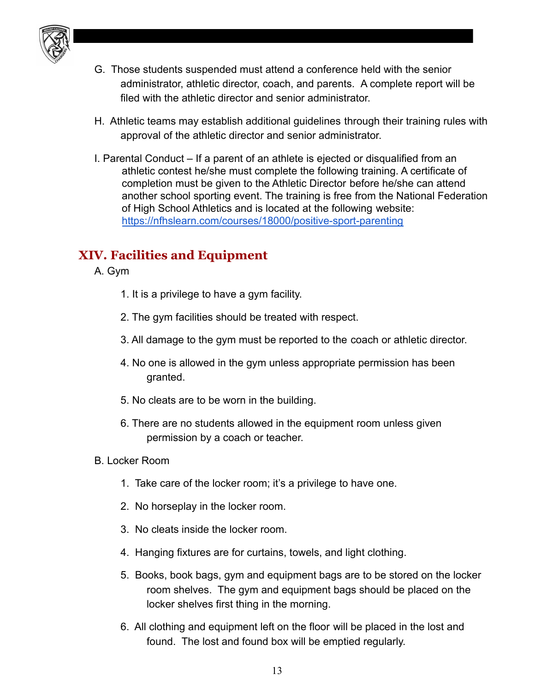

- G. Those students suspended must attend a conference held with the senior administrator, athletic director, coach, and parents. A complete report will be filed with the athletic director and senior administrator.
- H. Athletic teams may establish additional guidelines through their training rules with approval of the athletic director and senior administrator.
- I. Parental Conduct If a parent of an athlete is ejected or disqualified from an athletic contest he/she must complete the following training. A certificate of completion must be given to the Athletic Director before he/she can attend another school sporting event. The training is free from the National Federation of High School Athletics and is located at the following website: <https://nfhslearn.com/courses/18000/positive-sport-parenting>

# <span id="page-12-0"></span>**XIV. Facilities and Equipment**

- A. Gym
	- 1. It is a privilege to have a gym facility.
	- 2. The gym facilities should be treated with respect.
	- 3. All damage to the gym must be reported to the coach or athletic director.
	- 4. No one is allowed in the gym unless appropriate permission has been granted.
	- 5. No cleats are to be worn in the building.
	- 6. There are no students allowed in the equipment room unless given permission by a coach or teacher.
- B. Locker Room
	- 1. Take care of the locker room; it's a privilege to have one.
	- 2. No horseplay in the locker room.
	- 3. No cleats inside the locker room.
	- 4. Hanging fixtures are for curtains, towels, and light clothing.
	- 5. Books, book bags, gym and equipment bags are to be stored on the locker room shelves. The gym and equipment bags should be placed on the locker shelves first thing in the morning.
	- 6. All clothing and equipment left on the floor will be placed in the lost and found. The lost and found box will be emptied regularly.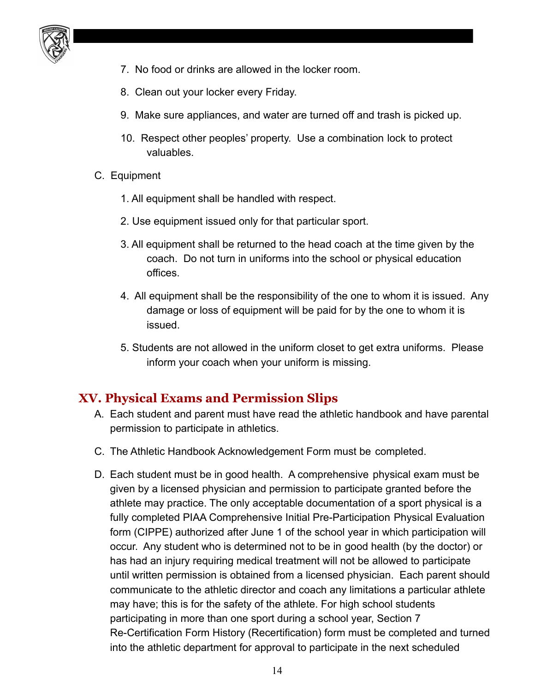

- 7. No food or drinks are allowed in the locker room.
- 8. Clean out your locker every Friday.
- 9. Make sure appliances, and water are turned off and trash is picked up.
- 10. Respect other peoples' property. Use a combination lock to protect valuables.
- C. Equipment
	- 1. All equipment shall be handled with respect.
	- 2. Use equipment issued only for that particular sport.
	- 3. All equipment shall be returned to the head coach at the time given by the coach. Do not turn in uniforms into the school or physical education offices.
	- 4. All equipment shall be the responsibility of the one to whom it is issued. Any damage or loss of equipment will be paid for by the one to whom it is issued.
	- 5. Students are not allowed in the uniform closet to get extra uniforms. Please inform your coach when your uniform is missing.

## <span id="page-13-0"></span>**XV. Physical Exams and Permission Slips**

- A. Each student and parent must have read the athletic handbook and have parental permission to participate in athletics.
- C. The Athletic Handbook Acknowledgement Form must be completed.
- D. Each student must be in good health. A comprehensive physical exam must be given by a licensed physician and permission to participate granted before the athlete may practice. The only acceptable documentation of a sport physical is a fully completed PIAA Comprehensive Initial Pre-Participation Physical Evaluation form (CIPPE) authorized after June 1 of the school year in which participation will occur. Any student who is determined not to be in good health (by the doctor) or has had an injury requiring medical treatment will not be allowed to participate until written permission is obtained from a licensed physician. Each parent should communicate to the athletic director and coach any limitations a particular athlete may have; this is for the safety of the athlete. For high school students participating in more than one sport during a school year, Section 7 Re-Certification Form History (Recertification) form must be completed and turned into the athletic department for approval to participate in the next scheduled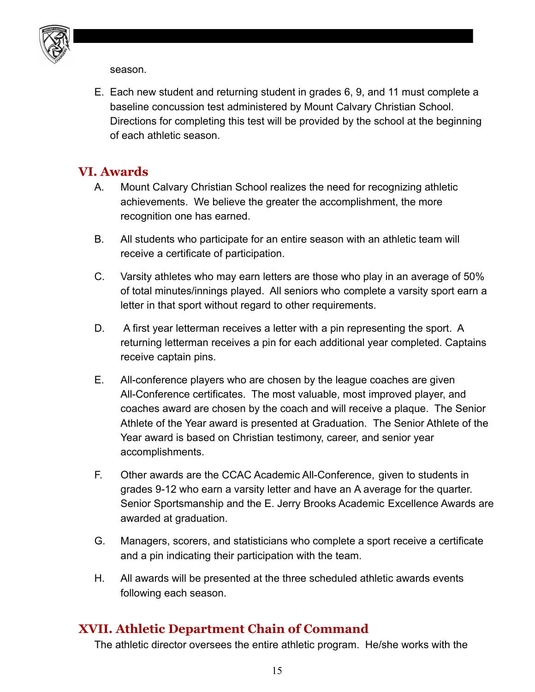

season.

E. Each new student and returning student in grades 6, 9, and 11 must complete a baseline concussion test administered by Mount Calvary Christian School. Directions for completing this test will be provided by the school at the beginning of each athletic season.

#### <span id="page-14-0"></span>**VI. Awards**

- A. Mount Calvary Christian School realizes the need for recognizing athletic achievements. We believe the greater the accomplishment, the more recognition one has earned.
- B. All students who participate for an entire season with an athletic team will receive a certificate of participation.
- C. Varsity athletes who may earn letters are those who play in an average of 50% of total minutes/innings played. All seniors who complete a varsity sport earn a letter in that sport without regard to other requirements.
- D. A first year letterman receives a letter with a pin representing the sport. A returning letterman receives a pin for each additional year completed. Captains receive captain pins.
- E. All-conference players who are chosen by the league coaches are given All-Conference certificates. The most valuable, most improved player, and coaches award are chosen by the coach and will receive a plaque. The Senior Athlete of the Year award is presented at Graduation. The Senior Athlete of the Year award is based on Christian testimony, career, and senior year accomplishments.
- F. Other awards are the CCAC Academic All-Conference, given to students in grades 9-12 who earn a varsity letter and have an A average for the quarter. Senior Sportsmanship and the E. Jerry Brooks Academic Excellence Awards are awarded at graduation.
- G. Managers, scorers, and statisticians who complete a sport receive a certificate and a pin indicating their participation with the team.
- H. All awards will be presented at the three scheduled athletic awards events following each season.

# <span id="page-14-1"></span>**XVII. Athletic Department Chain of Command**

The athletic director oversees the entire athletic program. He/she works with the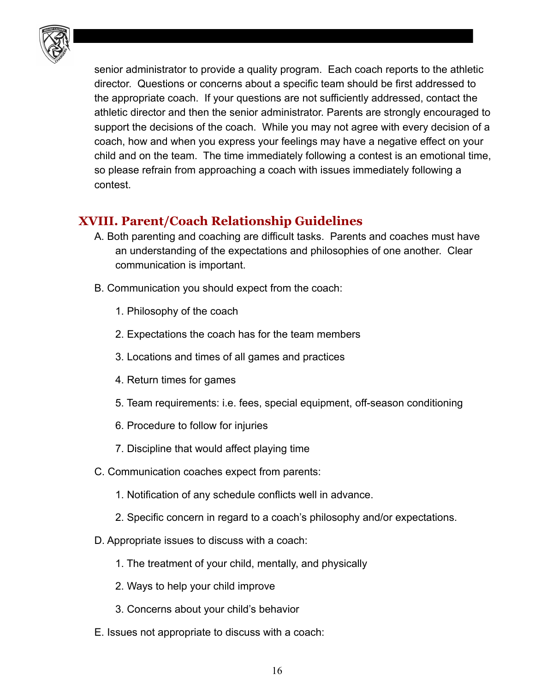

senior administrator to provide a quality program. Each coach reports to the athletic director. Questions or concerns about a specific team should be first addressed to the appropriate coach. If your questions are not sufficiently addressed, contact the athletic director and then the senior administrator. Parents are strongly encouraged to support the decisions of the coach. While you may not agree with every decision of a coach, how and when you express your feelings may have a negative effect on your child and on the team. The time immediately following a contest is an emotional time, so please refrain from approaching a coach with issues immediately following a contest.

# <span id="page-15-0"></span>**XVIII. Parent/Coach Relationship Guidelines**

- A. Both parenting and coaching are difficult tasks. Parents and coaches must have an understanding of the expectations and philosophies of one another. Clear communication is important.
- B. Communication you should expect from the coach:
	- 1. Philosophy of the coach
	- 2. Expectations the coach has for the team members
	- 3. Locations and times of all games and practices
	- 4. Return times for games
	- 5. Team requirements: i.e. fees, special equipment, off-season conditioning
	- 6. Procedure to follow for injuries
	- 7. Discipline that would affect playing time
- C. Communication coaches expect from parents:
	- 1. Notification of any schedule conflicts well in advance.
	- 2. Specific concern in regard to a coach's philosophy and/or expectations.
- D. Appropriate issues to discuss with a coach:
	- 1. The treatment of your child, mentally, and physically
	- 2. Ways to help your child improve
	- 3. Concerns about your child's behavior
- E. Issues not appropriate to discuss with a coach: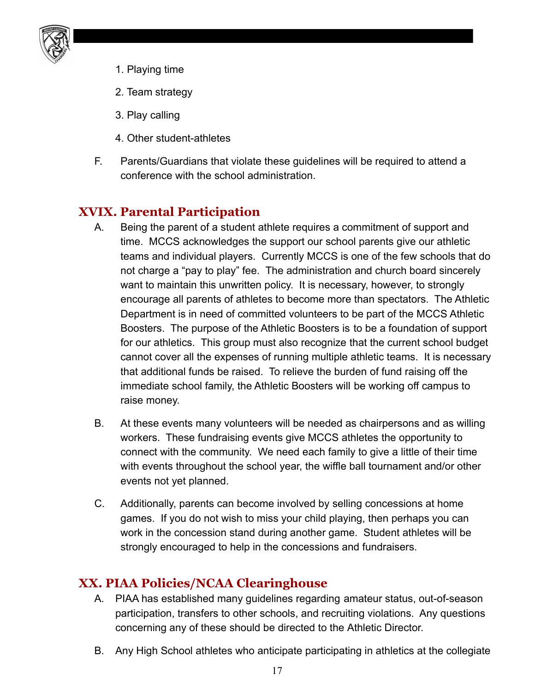

- 1. Playing time
- 2. Team strategy
- 3. Play calling
- 4. Other student-athletes
- F. Parents/Guardians that violate these guidelines will be required to attend a conference with the school administration.

# <span id="page-16-0"></span>**XVIX. Parental Participation**

- A. Being the parent of a student athlete requires a commitment of support and time. MCCS acknowledges the support our school parents give our athletic teams and individual players. Currently MCCS is one of the few schools that do not charge a "pay to play" fee. The administration and church board sincerely want to maintain this unwritten policy. It is necessary, however, to strongly encourage all parents of athletes to become more than spectators. The Athletic Department is in need of committed volunteers to be part of the MCCS Athletic Boosters. The purpose of the Athletic Boosters is to be a foundation of support for our athletics. This group must also recognize that the current school budget cannot cover all the expenses of running multiple athletic teams. It is necessary that additional funds be raised. To relieve the burden of fund raising off the immediate school family, the Athletic Boosters will be working off campus to raise money.
- B. At these events many volunteers will be needed as chairpersons and as willing workers. These fundraising events give MCCS athletes the opportunity to connect with the community. We need each family to give a little of their time with events throughout the school year, the wiffle ball tournament and/or other events not yet planned.
- C. Additionally, parents can become involved by selling concessions at home games. If you do not wish to miss your child playing, then perhaps you can work in the concession stand during another game. Student athletes will be strongly encouraged to help in the concessions and fundraisers.

#### <span id="page-16-1"></span>**XX. PIAA Policies/NCAA Clearinghouse**

- A. PIAA has established many guidelines regarding amateur status, out-of-season participation, transfers to other schools, and recruiting violations. Any questions concerning any of these should be directed to the Athletic Director.
- B. Any High School athletes who anticipate participating in athletics at the collegiate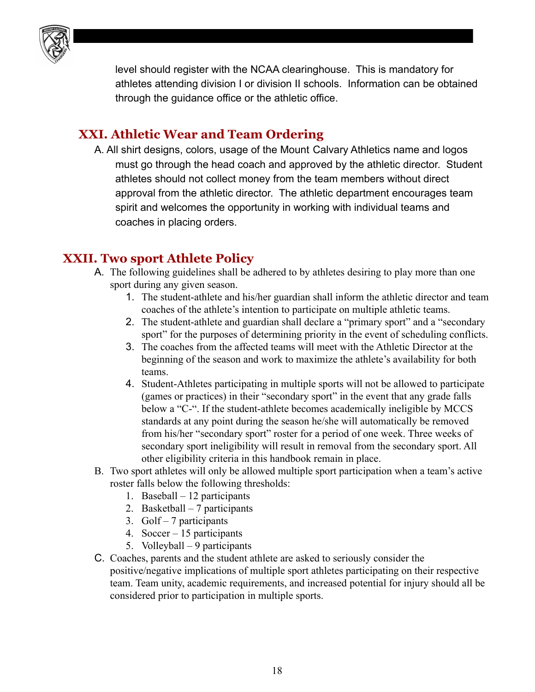

level should register with the NCAA clearinghouse. This is mandatory for athletes attending division I or division II schools. Information can be obtained through the guidance office or the athletic office.

#### <span id="page-17-0"></span>**XXI. Athletic Wear and Team Ordering**

A. All shirt designs, colors, usage of the Mount Calvary Athletics name and logos must go through the head coach and approved by the athletic director. Student athletes should not collect money from the team members without direct approval from the athletic director. The athletic department encourages team spirit and welcomes the opportunity in working with individual teams and coaches in placing orders.

#### <span id="page-17-1"></span>**XXII. Two sport Athlete Policy**

- A. The following guidelines shall be adhered to by athletes desiring to play more than one sport during any given season.
	- 1. The student-athlete and his/her guardian shall inform the athletic director and team coaches of the athlete's intention to participate on multiple athletic teams.
	- 2. The student-athlete and guardian shall declare a "primary sport" and a "secondary sport" for the purposes of determining priority in the event of scheduling conflicts.
	- 3. The coaches from the affected teams will meet with the Athletic Director at the beginning of the season and work to maximize the athlete's availability for both teams.
	- 4. Student-Athletes participating in multiple sports will not be allowed to participate (games or practices) in their "secondary sport" in the event that any grade falls below a "C-". If the student-athlete becomes academically ineligible by MCCS standards at any point during the season he/she will automatically be removed from his/her "secondary sport" roster for a period of one week. Three weeks of secondary sport ineligibility will result in removal from the secondary sport. All other eligibility criteria in this handbook remain in place.
- B. Two sport athletes will only be allowed multiple sport participation when a team's active roster falls below the following thresholds:
	- 1. Baseball 12 participants
	- 2. Basketball 7 participants
	- 3. Golf 7 participants
	- 4. Soccer 15 participants
	- 5. Volleyball 9 participants
- C. Coaches, parents and the student athlete are asked to seriously consider the positive/negative implications of multiple sport athletes participating on their respective team. Team unity, academic requirements, and increased potential for injury should all be considered prior to participation in multiple sports.